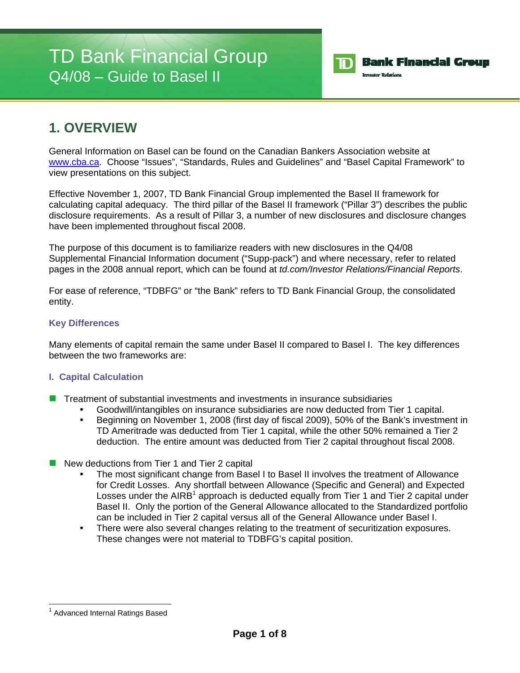# TD Bank Financial Group Q4/08 – Guide to Basel II



### **1. OVERVIEW**

General Information on Basel can be found on the Canadian Bankers Association website at www.cba.ca. Choose "Issues", "Standards, Rules and Guidelines" and "Basel Capital Framework" to view presentations on this subject.

Effective November 1, 2007, TD Bank Financial Group implemented the Basel II framework for calculating capital adequacy. The third pillar of the Basel II framework ("Pillar 3") describes the public disclosure requirements. As a result of Pillar 3, a number of new disclosures and disclosure changes have been implemented throughout fiscal 2008.

The purpose of this document is to familiarize readers with new disclosures in the Q4/08 Supplemental Financial Information document ("Supp-pack") and where necessary, refer to related pages in the 2008 annual report, which can be found at *td.com/Investor Relations/Financial Reports*.

For ease of reference, "TDBFG" or "the Bank" refers to TD Bank Financial Group, the consolidated entity.

#### **Key Differences**

Many elements of capital remain the same under Basel II compared to Basel I. The key differences between the two frameworks are:

#### **I. Capital Calculation**

- Treatment of substantial investments and investments in insurance subsidiaries
	- Goodwill/intangibles on insurance subsidiaries are now deducted from Tier 1 capital.
	- Beginning on November 1, 2008 (first day of fiscal 2009), 50% of the Bank's investment in TD Ameritrade was deducted from Tier 1 capital, while the other 50% remained a Tier 2 deduction. The entire amount was deducted from Tier 2 capital throughout fiscal 2008.
- New deductions from Tier 1 and Tier 2 capital
	- The most significant change from Basel I to Basel II involves the treatment of Allowance for Credit Losses. Any shortfall between Allowance (Specific and General) and Expected Losses under the AIRB<sup>1</sup> approach is deducted equally from Tier 1 and Tier 2 capital under Basel II. Only the portion of the General Allowance allocated to the Standardized portfolio can be included in Tier 2 capital versus all of the General Allowance under Basel I.
	- There were also several changes relating to the treatment of securitization exposures. These changes were not material to TDBFG's capital position.

l <sup>1</sup> Advanced Internal Ratings Based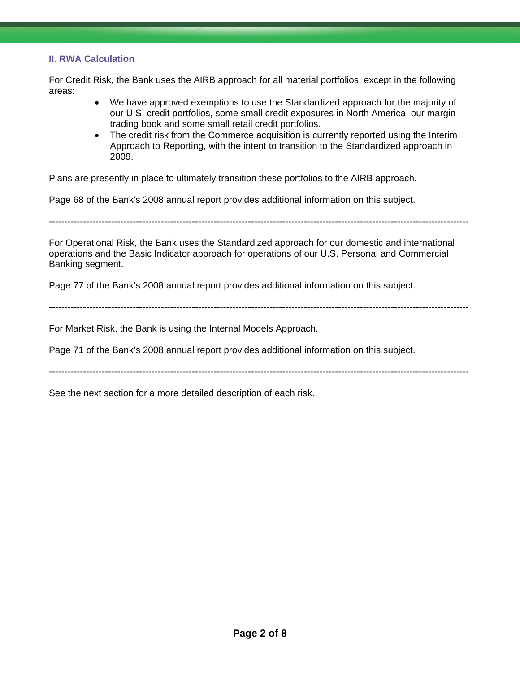#### **II. RWA Calculation**

For Credit Risk, the Bank uses the AIRB approach for all material portfolios, except in the following areas:

- We have approved exemptions to use the Standardized approach for the majority of our U.S. credit portfolios, some small credit exposures in North America, our margin trading book and some small retail credit portfolios.
- The credit risk from the Commerce acquisition is currently reported using the Interim Approach to Reporting, with the intent to transition to the Standardized approach in 2009.

Plans are presently in place to ultimately transition these portfolios to the AIRB approach.

Page 68 of the Bank's 2008 annual report provides additional information on this subject.

---------------------------------------------------------------------------------------------------------------------------------------

For Operational Risk, the Bank uses the Standardized approach for our domestic and international operations and the Basic Indicator approach for operations of our U.S. Personal and Commercial Banking segment.

Page 77 of the Bank's 2008 annual report provides additional information on this subject.

---------------------------------------------------------------------------------------------------------------------------------------

For Market Risk, the Bank is using the Internal Models Approach.

Page 71 of the Bank's 2008 annual report provides additional information on this subject.

---------------------------------------------------------------------------------------------------------------------------------------

See the next section for a more detailed description of each risk.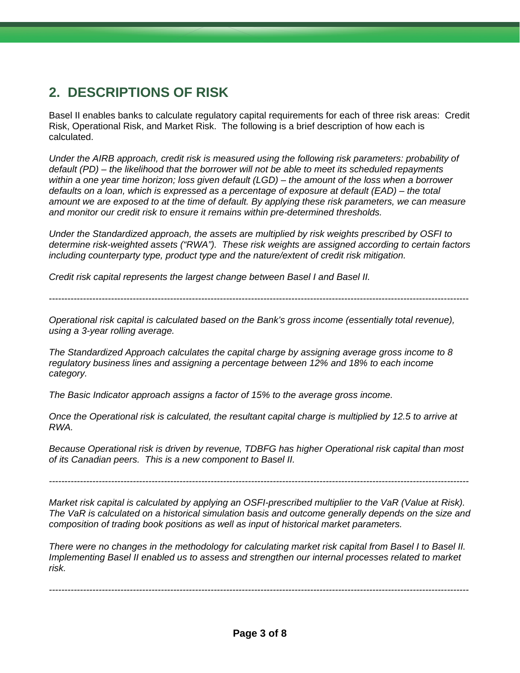## **2. DESCRIPTIONS OF RISK**

Basel II enables banks to calculate regulatory capital requirements for each of three risk areas: Credit Risk, Operational Risk, and Market Risk. The following is a brief description of how each is calculated.

*Under the AIRB approach, credit risk is measured using the following risk parameters: probability of default (PD) – the likelihood that the borrower will not be able to meet its scheduled repayments within a one year time horizon; loss given default (LGD) – the amount of the loss when a borrower defaults on a loan, which is expressed as a percentage of exposure at default (EAD) – the total amount we are exposed to at the time of default. By applying these risk parameters, we can measure and monitor our credit risk to ensure it remains within pre-determined thresholds.* 

*Under the Standardized approach, the assets are multiplied by risk weights prescribed by OSFI to determine risk-weighted assets ("RWA"). These risk weights are assigned according to certain factors including counterparty type, product type and the nature/extent of credit risk mitigation.* 

*Credit risk capital represents the largest change between Basel I and Basel II.* 

---------------------------------------------------------------------------------------------------------------------------------------

*Operational risk capital is calculated based on the Bank's gross income (essentially total revenue), using a 3-year rolling average.* 

*The Standardized Approach calculates the capital charge by assigning average gross income to 8 regulatory business lines and assigning a percentage between 12% and 18% to each income category.* 

*The Basic Indicator approach assigns a factor of 15% to the average gross income.* 

*Once the Operational risk is calculated, the resultant capital charge is multiplied by 12.5 to arrive at RWA.* 

*Because Operational risk is driven by revenue, TDBFG has higher Operational risk capital than most of its Canadian peers. This is a new component to Basel II.* 

*---------------------------------------------------------------------------------------------------------------------------------------* 

*Market risk capital is calculated by applying an OSFI-prescribed multiplier to the VaR (Value at Risk). The VaR is calculated on a historical simulation basis and outcome generally depends on the size and composition of trading book positions as well as input of historical market parameters.* 

*There were no changes in the methodology for calculating market risk capital from Basel I to Basel II. Implementing Basel II enabled us to assess and strengthen our internal processes related to market risk.* 

*---------------------------------------------------------------------------------------------------------------------------------------*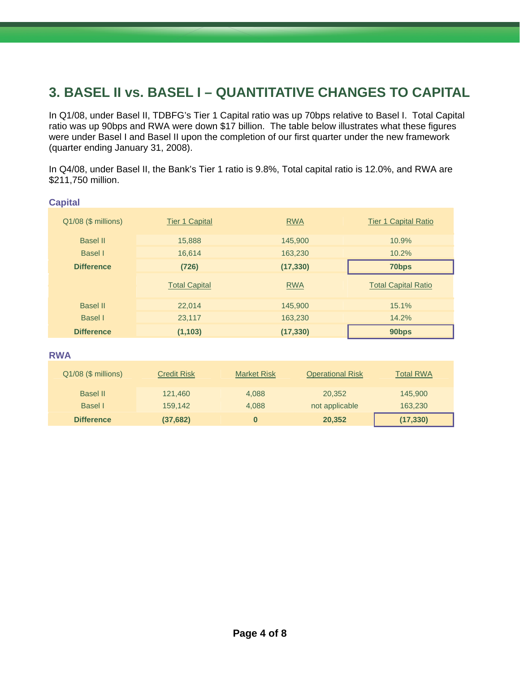## **3. BASEL II vs. BASEL I – QUANTITATIVE CHANGES TO CAPITAL**

In Q1/08, under Basel II, TDBFG's Tier 1 Capital ratio was up 70bps relative to Basel I. Total Capital ratio was up 90bps and RWA were down \$17 billion. The table below illustrates what these figures were under Basel I and Basel II upon the completion of our first quarter under the new framework (quarter ending January 31, 2008).

In Q4/08, under Basel II, the Bank's Tier 1 ratio is 9.8%, Total capital ratio is 12.0%, and RWA are \$211,750 million.

| $Q1/08$ (\$ millions) | <b>Tier 1 Capital</b> | <b>RWA</b> | <b>Tier 1 Capital Ratio</b> |  |
|-----------------------|-----------------------|------------|-----------------------------|--|
| <b>Basel II</b>       | 15,888                | 145,900    | 10.9%                       |  |
| Basel I               | 16.614                | 163,230    | 10.2%                       |  |
| <b>Difference</b>     | (726)                 | (17, 330)  | 70bps                       |  |
|                       |                       |            |                             |  |
|                       | <b>Total Capital</b>  | <b>RWA</b> | <b>Total Capital Ratio</b>  |  |
| <b>Basel II</b>       | 22,014                | 145,900    | 15.1%                       |  |
| Basel I               | 23,117                | 163,230    | 14.2%                       |  |

**RWA**

| Q1/08 (\$ millions) | <b>Credit Risk</b> | <b>Market Risk</b> | <b>Operational Risk</b> | <b>Total RWA</b> |
|---------------------|--------------------|--------------------|-------------------------|------------------|
| <b>Basel II</b>     | 121,460            | 4.088              | 20,352                  | 145,900          |
| Basel I             | 159.142            | 4.088              | not applicable          | 163,230          |
| <b>Difference</b>   | (37,682)           |                    | 20,352                  | (17, 330)        |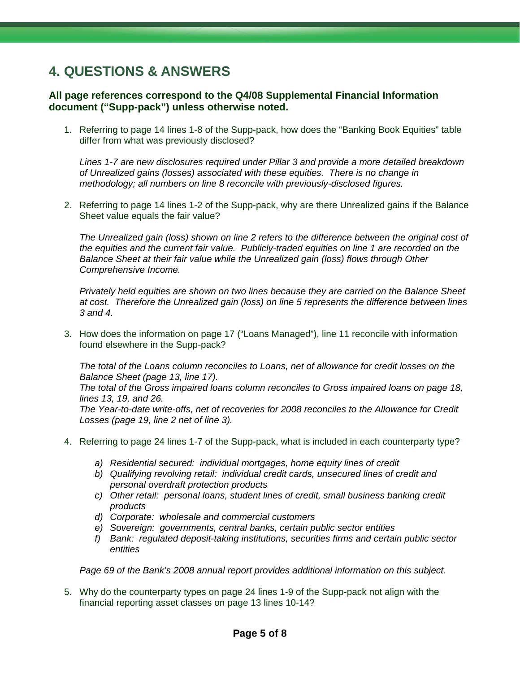## **4. QUESTIONS & ANSWERS**

#### **All page references correspond to the Q4/08 Supplemental Financial Information document ("Supp-pack") unless otherwise noted.**

1. Referring to page 14 lines 1-8 of the Supp-pack, how does the "Banking Book Equities" table differ from what was previously disclosed?

*Lines 1-7 are new disclosures required under Pillar 3 and provide a more detailed breakdown of Unrealized gains (losses) associated with these equities. There is no change in methodology; all numbers on line 8 reconcile with previously-disclosed figures.* 

2. Referring to page 14 lines 1-2 of the Supp-pack, why are there Unrealized gains if the Balance Sheet value equals the fair value?

*The Unrealized gain (loss) shown on line 2 refers to the difference between the original cost of the equities and the current fair value. Publicly-traded equities on line 1 are recorded on the Balance Sheet at their fair value while the Unrealized gain (loss) flows through Other Comprehensive Income.* 

*Privately held equities are shown on two lines because they are carried on the Balance Sheet at cost. Therefore the Unrealized gain (loss) on line 5 represents the difference between lines 3 and 4.* 

3. How does the information on page 17 ("Loans Managed"), line 11 reconcile with information found elsewhere in the Supp-pack?

*The total of the Loans column reconciles to Loans, net of allowance for credit losses on the Balance Sheet (page 13, line 17).* 

*The total of the Gross impaired loans column reconciles to Gross impaired loans on page 18, lines 13, 19, and 26.* 

*The Year-to-date write-offs, net of recoveries for 2008 reconciles to the Allowance for Credit Losses (page 19, line 2 net of line 3).* 

- 4. Referring to page 24 lines 1-7 of the Supp-pack, what is included in each counterparty type?
	- *a) Residential secured: individual mortgages, home equity lines of credit*
	- *b) Qualifying revolving retail: individual credit cards, unsecured lines of credit and personal overdraft protection products*
	- *c) Other retail: personal loans, student lines of credit, small business banking credit products*
	- *d) Corporate: wholesale and commercial customers*
	- *e) Sovereign: governments, central banks, certain public sector entities*
	- *f) Bank: regulated deposit-taking institutions, securities firms and certain public sector entities*

*Page 69 of the Bank's 2008 annual report provides additional information on this subject.* 

5. Why do the counterparty types on page 24 lines 1-9 of the Supp-pack not align with the financial reporting asset classes on page 13 lines 10-14?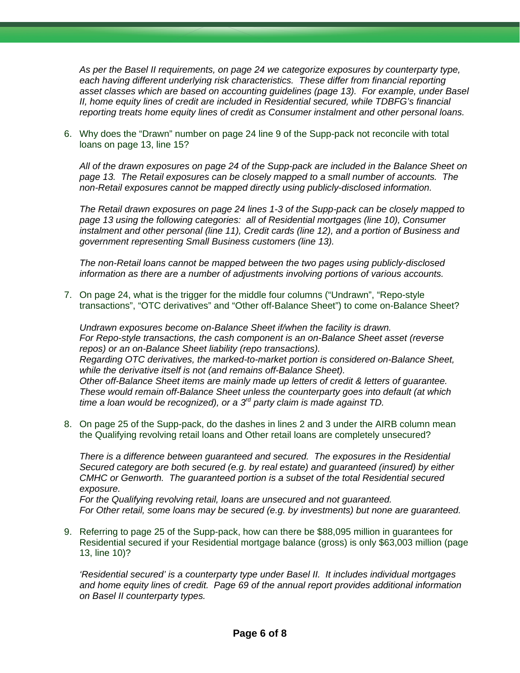*As per the Basel II requirements, on page 24 we categorize exposures by counterparty type, each having different underlying risk characteristics. These differ from financial reporting asset classes which are based on accounting guidelines (page 13). For example, under Basel II, home equity lines of credit are included in Residential secured, while TDBFG's financial reporting treats home equity lines of credit as Consumer instalment and other personal loans.* 

6. Why does the "Drawn" number on page 24 line 9 of the Supp-pack not reconcile with total loans on page 13, line 15?

*All of the drawn exposures on page 24 of the Supp-pack are included in the Balance Sheet on page 13. The Retail exposures can be closely mapped to a small number of accounts. The non-Retail exposures cannot be mapped directly using publicly-disclosed information.* 

*The Retail drawn exposures on page 24 lines 1-3 of the Supp-pack can be closely mapped to page 13 using the following categories: all of Residential mortgages (line 10), Consumer instalment and other personal (line 11), Credit cards (line 12), and a portion of Business and government representing Small Business customers (line 13).* 

*The non-Retail loans cannot be mapped between the two pages using publicly-disclosed information as there are a number of adjustments involving portions of various accounts.* 

7. On page 24, what is the trigger for the middle four columns ("Undrawn", "Repo-style transactions", "OTC derivatives" and "Other off-Balance Sheet") to come on-Balance Sheet?

*Undrawn exposures become on-Balance Sheet if/when the facility is drawn. For Repo-style transactions, the cash component is an on-Balance Sheet asset (reverse repos) or an on-Balance Sheet liability (repo transactions). Regarding OTC derivatives, the marked-to-market portion is considered on-Balance Sheet, while the derivative itself is not (and remains off-Balance Sheet). Other off-Balance Sheet items are mainly made up letters of credit & letters of guarantee. These would remain off-Balance Sheet unless the counterparty goes into default (at which time a loan would be recognized), or a 3rd party claim is made against TD.* 

8. On page 25 of the Supp-pack, do the dashes in lines 2 and 3 under the AIRB column mean the Qualifying revolving retail loans and Other retail loans are completely unsecured?

*There is a difference between guaranteed and secured. The exposures in the Residential Secured category are both secured (e.g. by real estate) and guaranteed (insured) by either CMHC or Genworth. The guaranteed portion is a subset of the total Residential secured exposure.* 

*For the Qualifying revolving retail, loans are unsecured and not guaranteed. For Other retail, some loans may be secured (e.g. by investments) but none are guaranteed.*

9. Referring to page 25 of the Supp-pack, how can there be \$88,095 million in guarantees for Residential secured if your Residential mortgage balance (gross) is only \$63,003 million (page 13, line 10)?

*'Residential secured' is a counterparty type under Basel II. It includes individual mortgages and home equity lines of credit. Page 69 of the annual report provides additional information on Basel II counterparty types.*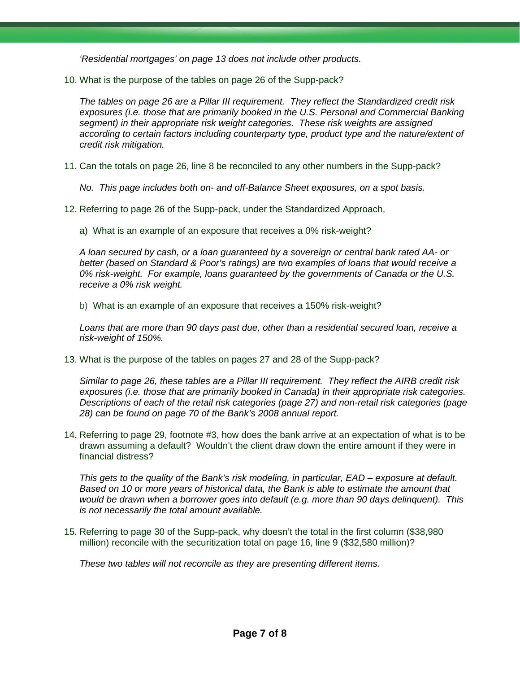*'Residential mortgages' on page 13 does not include other products.* 

10. What is the purpose of the tables on page 26 of the Supp-pack?

*The tables on page 26 are a Pillar III requirement. They reflect the Standardized credit risk exposures (i.e. those that are primarily booked in the U.S. Personal and Commercial Banking segment) in their appropriate risk weight categories. These risk weights are assigned according to certain factors including counterparty type, product type and the nature/extent of credit risk mitigation.* 

- 11. Can the totals on page 26, line 8 be reconciled to any other numbers in the Supp-pack?
	- *No. This page includes both on- and off-Balance Sheet exposures, on a spot basis.*
- 12. Referring to page 26 of the Supp-pack, under the Standardized Approach,
	- a) What is an example of an exposure that receives a 0% risk-weight?

*A loan secured by cash, or a loan guaranteed by a sovereign or central bank rated AA- or better (based on Standard & Poor's ratings) are two examples of loans that would receive a 0% risk-weight. For example, loans guaranteed by the governments of Canada or the U.S. receive a 0% risk weight.* 

b) What is an example of an exposure that receives a 150% risk-weight?

*Loans that are more than 90 days past due, other than a residential secured loan, receive a risk-weight of 150%.* 

13. What is the purpose of the tables on pages 27 and 28 of the Supp-pack?

*Similar to page 26, these tables are a Pillar III requirement. They reflect the AIRB credit risk exposures (i.e. those that are primarily booked in Canada) in their appropriate risk categories. Descriptions of each of the retail risk categories (page 27) and non-retail risk categories (page 28) can be found on page 70 of the Bank's 2008 annual report.* 

14. Referring to page 29, footnote #3, how does the bank arrive at an expectation of what is to be drawn assuming a default? Wouldn't the client draw down the entire amount if they were in financial distress?

*This gets to the quality of the Bank's risk modeling, in particular, EAD – exposure at default. Based on 10 or more years of historical data, the Bank is able to estimate the amount that would be drawn when a borrower goes into default (e.g. more than 90 days delinquent). This is not necessarily the total amount available.* 

15. Referring to page 30 of the Supp-pack, why doesn't the total in the first column (\$38,980 million) reconcile with the securitization total on page 16, line 9 (\$32,580 million)?

*These two tables will not reconcile as they are presenting different items.*